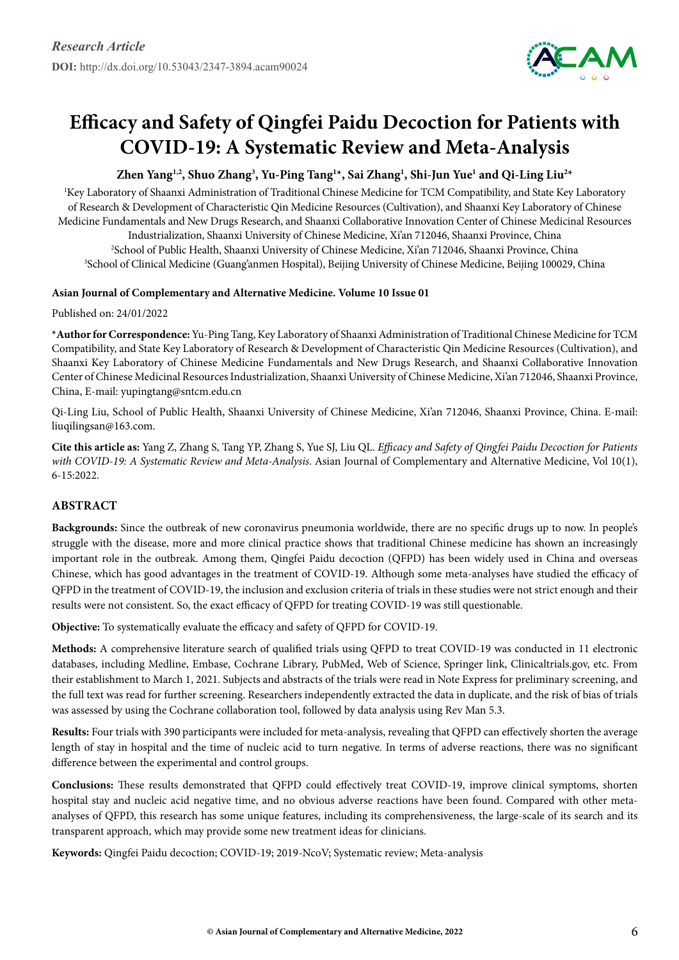

# **Efficacy and Safety of Qingfei Paidu Decoction for Patients with COVID-19: A Systematic Review and Meta-Analysis**

# **Zhen Yang1,2, Shuo Zhang3 , Yu-Ping Tang1 \*, Sai Zhang1 , Shi-Jun Yue1 and Qi-Ling Liu2 \***

1 Key Laboratory of Shaanxi Administration of Traditional Chinese Medicine for TCM Compatibility, and State Key Laboratory of Research & Development of Characteristic Qin Medicine Resources (Cultivation), and Shaanxi Key Laboratory of Chinese Medicine Fundamentals and New Drugs Research, and Shaanxi Collaborative Innovation Center of Chinese Medicinal Resources Industrialization, Shaanxi University of Chinese Medicine, Xi'an 712046, Shaanxi Province, China 2 School of Public Health, Shaanxi University of Chinese Medicine, Xi'an 712046, Shaanxi Province, China 3 School of Clinical Medicine (Guang'anmen Hospital), Beijing University of Chinese Medicine, Beijing 100029, China

## **Asian Journal of Complementary and Alternative Medicine. Volume 10 Issue 01**

#### Published on: 24/01/2022

**\*Author for Correspondence:** Yu-Ping Tang, Key Laboratory of Shaanxi Administration of Traditional Chinese Medicine for TCM Compatibility, and State Key Laboratory of Research & Development of Characteristic Qin Medicine Resources (Cultivation), and Shaanxi Key Laboratory of Chinese Medicine Fundamentals and New Drugs Research, and Shaanxi Collaborative Innovation Center of Chinese Medicinal Resources Industrialization, Shaanxi University of Chinese Medicine, Xi'an 712046, Shaanxi Province, China, E-mail: yupingtang@sntcm.edu.cn

Qi-Ling Liu, School of Public Health, Shaanxi University of Chinese Medicine, Xi'an 712046, Shaanxi Province, China. E-mail: liuqilingsan@163.com.

**Cite this article as:** Yang Z, Zhang S, Tang YP, Zhang S, Yue SJ, Liu QL. *Efficacy and Safety of Qingfei Paidu Decoction for Patients with COVID-19: A Systematic Review and Meta-Analysis*. Asian Journal of Complementary and Alternative Medicine, Vol 10(1), 6-15:2022.

# **Abstract**

**Backgrounds:** Since the outbreak of new coronavirus pneumonia worldwide, there are no specific drugs up to now. In people's struggle with the disease, more and more clinical practice shows that traditional Chinese medicine has shown an increasingly important role in the outbreak. Among them, Qingfei Paidu decoction (QFPD) has been widely used in China and overseas Chinese, which has good advantages in the treatment of COVID-19. Although some meta-analyses have studied the efficacy of QFPD in the treatment of COVID-19, the inclusion and exclusion criteria of trials in these studies were not strict enough and their results were not consistent. So, the exact efficacy of QFPD for treating COVID-19 was still questionable.

**Objective:** To systematically evaluate the efficacy and safety of QFPD for COVID-19.

**Methods:** A comprehensive literature search of qualified trials using QFPD to treat COVID-19 was conducted in 11 electronic databases, including Medline, Embase, Cochrane Library, PubMed, Web of Science, Springer link, Clinicaltrials.gov, etc. From their establishment to March 1, 2021. Subjects and abstracts of the trials were read in Note Express for preliminary screening, and the full text was read for further screening. Researchers independently extracted the data in duplicate, and the risk of bias of trials was assessed by using the Cochrane collaboration tool, followed by data analysis using Rev Man 5.3.

**Results:** Four trials with 390 participants were included for meta-analysis, revealing that QFPD can effectively shorten the average length of stay in hospital and the time of nucleic acid to turn negative. In terms of adverse reactions, there was no significant difference between the experimental and control groups.

**Conclusions:** These results demonstrated that QFPD could effectively treat COVID-19, improve clinical symptoms, shorten hospital stay and nucleic acid negative time, and no obvious adverse reactions have been found. Compared with other metaanalyses of QFPD, this research has some unique features, including its comprehensiveness, the large-scale of its search and its transparent approach, which may provide some new treatment ideas for clinicians.

**Keywords:** Qingfei Paidu decoction; COVID-19; 2019-NcoV; Systematic review; Meta-analysis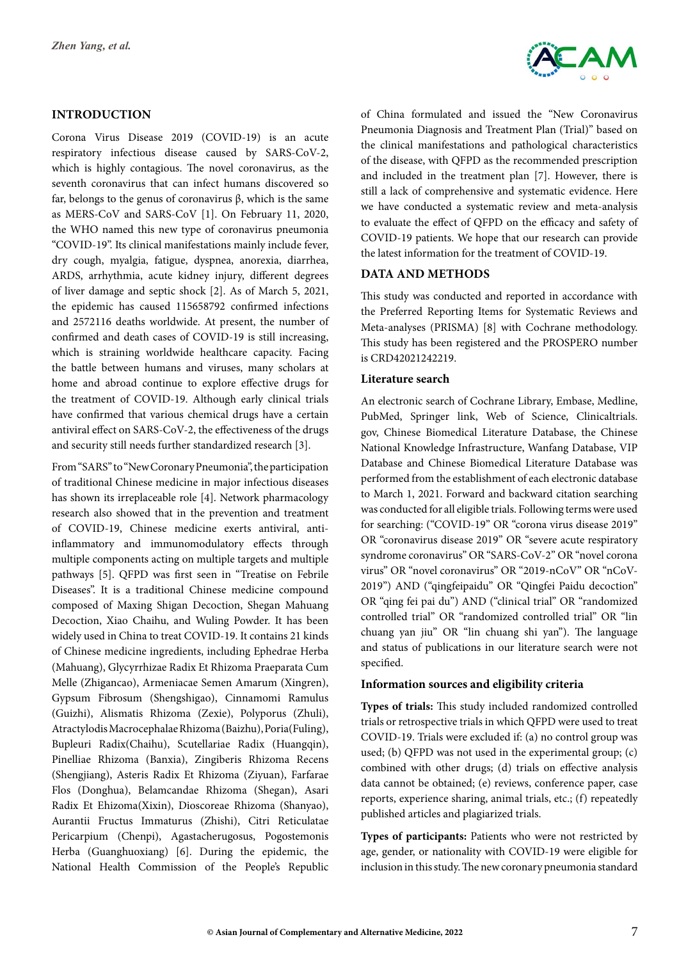## **Introduction**

Corona Virus Disease 2019 (COVID-19) is an acute respiratory infectious disease caused by SARS-CoV-2, which is highly contagious. The novel coronavirus, as the seventh coronavirus that can infect humans discovered so far, belongs to the genus of coronavirus β, which is the same as MERS-CoV and SARS-CoV [1]. On February 11, 2020, the WHO named this new type of coronavirus pneumonia "COVID-19". Its clinical manifestations mainly include fever, dry cough, myalgia, fatigue, dyspnea, anorexia, diarrhea, ARDS, arrhythmia, acute kidney injury, different degrees of liver damage and septic shock [2]. As of March 5, 2021, the epidemic has caused 115658792 confirmed infections and 2572116 deaths worldwide. At present, the number of confirmed and death cases of COVID-19 is still increasing, which is straining worldwide healthcare capacity. Facing the battle between humans and viruses, many scholars at home and abroad continue to explore effective drugs for the treatment of COVID-19. Although early clinical trials have confirmed that various chemical drugs have a certain antiviral effect on SARS-CoV-2, the effectiveness of the drugs and security still needs further standardized research [3].

From "SARS" to "New Coronary Pneumonia", the participation of traditional Chinese medicine in major infectious diseases has shown its irreplaceable role [4]. Network pharmacology research also showed that in the prevention and treatment of COVID-19, Chinese medicine exerts antiviral, antiinflammatory and immunomodulatory effects through multiple components acting on multiple targets and multiple pathways [5]. QFPD was first seen in "Treatise on Febrile Diseases". It is a traditional Chinese medicine compound composed of Maxing Shigan Decoction, Shegan Mahuang Decoction, Xiao Chaihu, and Wuling Powder. It has been widely used in China to treat COVID-19. It contains 21 kinds of Chinese medicine ingredients, including Ephedrae Herba (Mahuang), Glycyrrhizae Radix Et Rhizoma Praeparata Cum Melle (Zhigancao), Armeniacae Semen Amarum (Xingren), Gypsum Fibrosum (Shengshigao), Cinnamomi Ramulus (Guizhi), Alismatis Rhizoma (Zexie), Polyporus (Zhuli), Atractylodis Macrocephalae Rhizoma (Baizhu), Poria(Fuling), Bupleuri Radix(Chaihu), Scutellariae Radix (Huangqin), Pinelliae Rhizoma (Banxia), Zingiberis Rhizoma Recens (Shengjiang), Asteris Radix Et Rhizoma (Ziyuan), Farfarae Flos (Donghua), Belamcandae Rhizoma (Shegan), Asari Radix Et Ehizoma(Xixin), Dioscoreae Rhizoma (Shanyao), Aurantii Fructus Immaturus (Zhishi), Citri Reticulatae Pericarpium (Chenpi), Agastacherugosus, Pogostemonis Herba (Guanghuoxiang) [6]. During the epidemic, the National Health Commission of the People's Republic



of China formulated and issued the "New Coronavirus Pneumonia Diagnosis and Treatment Plan (Trial)" based on the clinical manifestations and pathological characteristics of the disease, with QFPD as the recommended prescription and included in the treatment plan [7]. However, there is still a lack of comprehensive and systematic evidence. Here we have conducted a systematic review and meta-analysis to evaluate the effect of QFPD on the efficacy and safety of COVID-19 patients. We hope that our research can provide the latest information for the treatment of COVID-19.

## **Data and Methods**

This study was conducted and reported in accordance with the Preferred Reporting Items for Systematic Reviews and Meta-analyses (PRISMA) [8] with Cochrane methodology. This study has been registered and the PROSPERO number is CRD42021242219.

#### **Literature search**

An electronic search of Cochrane Library, Embase, Medline, PubMed, Springer link, Web of Science, Clinicaltrials. gov, Chinese Biomedical Literature Database, the Chinese National Knowledge Infrastructure, Wanfang Database, VIP Database and Chinese Biomedical Literature Database was performed from the establishment of each electronic database to March 1, 2021. Forward and backward citation searching was conducted for all eligible trials. Following terms were used for searching: ("COVID-19" OR "corona virus disease 2019" OR "coronavirus disease 2019" OR "severe acute respiratory syndrome coronavirus" OR "SARS-CoV-2" OR "novel corona virus" OR "novel coronavirus" OR "2019-nCoV" OR "nCoV-2019") AND ("qingfeipaidu" OR "Qingfei Paidu decoction" OR "qing fei pai du") AND ("clinical trial" OR "randomized controlled trial" OR "randomized controlled trial" OR "lin chuang yan jiu" OR "lin chuang shi yan"). The language and status of publications in our literature search were not specified.

## **Information sources and eligibility criteria**

**Types of trials:** This study included randomized controlled trials or retrospective trials in which QFPD were used to treat COVID-19. Trials were excluded if: (a) no control group was used; (b) QFPD was not used in the experimental group; (c) combined with other drugs; (d) trials on effective analysis data cannot be obtained; (e) reviews, conference paper, case reports, experience sharing, animal trials, etc.; (f) repeatedly published articles and plagiarized trials.

**Types of participants:** Patients who were not restricted by age, gender, or nationality with COVID-19 were eligible for inclusion in this study. The new coronary pneumonia standard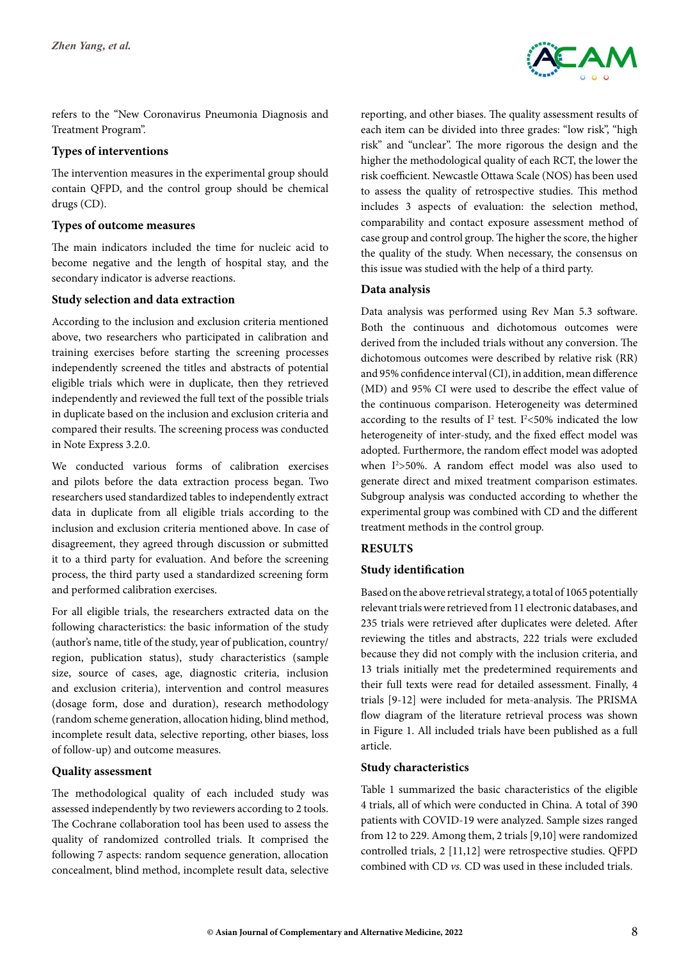

refers to the "New Coronavirus Pneumonia Diagnosis and Treatment Program".

#### **Types of interventions**

The intervention measures in the experimental group should contain QFPD, and the control group should be chemical drugs (CD).

#### **Types of outcome measures**

The main indicators included the time for nucleic acid to become negative and the length of hospital stay, and the secondary indicator is adverse reactions.

#### **Study selection and data extraction**

According to the inclusion and exclusion criteria mentioned above, two researchers who participated in calibration and training exercises before starting the screening processes independently screened the titles and abstracts of potential eligible trials which were in duplicate, then they retrieved independently and reviewed the full text of the possible trials in duplicate based on the inclusion and exclusion criteria and compared their results. The screening process was conducted in Note Express 3.2.0.

We conducted various forms of calibration exercises and pilots before the data extraction process began. Two researchers used standardized tables to independently extract data in duplicate from all eligible trials according to the inclusion and exclusion criteria mentioned above. In case of disagreement, they agreed through discussion or submitted it to a third party for evaluation. And before the screening process, the third party used a standardized screening form and performed calibration exercises.

For all eligible trials, the researchers extracted data on the following characteristics: the basic information of the study (author's name, title of the study, year of publication, country/ region, publication status), study characteristics (sample size, source of cases, age, diagnostic criteria, inclusion and exclusion criteria), intervention and control measures (dosage form, dose and duration), research methodology (random scheme generation, allocation hiding, blind method, incomplete result data, selective reporting, other biases, loss of follow-up) and outcome measures.

## **Quality assessment**

The methodological quality of each included study was assessed independently by two reviewers according to 2 tools. The Cochrane collaboration tool has been used to assess the quality of randomized controlled trials. It comprised the following 7 aspects: random sequence generation, allocation concealment, blind method, incomplete result data, selective

reporting, and other biases. The quality assessment results of each item can be divided into three grades: "low risk", "high risk" and "unclear". The more rigorous the design and the higher the methodological quality of each RCT, the lower the risk coefficient. Newcastle Ottawa Scale (NOS) has been used to assess the quality of retrospective studies. This method includes 3 aspects of evaluation: the selection method, comparability and contact exposure assessment method of case group and control group. The higher the score, the higher the quality of the study. When necessary, the consensus on this issue was studied with the help of a third party.

#### **Data analysis**

Data analysis was performed using Rev Man 5.3 software. Both the continuous and dichotomous outcomes were derived from the included trials without any conversion. The dichotomous outcomes were described by relative risk (RR) and 95% confidence interval (CI), in addition, mean difference (MD) and 95% CI were used to describe the effect value of the continuous comparison. Heterogeneity was determined according to the results of  $I^2$  test.  $I^2$ <50% indicated the low heterogeneity of inter-study, and the fixed effect model was adopted. Furthermore, the random effect model was adopted when  $I^2 > 50\%$ . A random effect model was also used to generate direct and mixed treatment comparison estimates. Subgroup analysis was conducted according to whether the experimental group was combined with CD and the different treatment methods in the control group.

## **Results**

## **Study identification**

Based on the above retrieval strategy, a total of 1065 potentially relevant trials were retrieved from 11 electronic databases, and 235 trials were retrieved after duplicates were deleted. After reviewing the titles and abstracts, 222 trials were excluded because they did not comply with the inclusion criteria, and 13 trials initially met the predetermined requirements and their full texts were read for detailed assessment. Finally, 4 trials [9-12] were included for meta-analysis. The PRISMA flow diagram of the literature retrieval process was shown in Figure 1. All included trials have been published as a full article.

## **Study characteristics**

Table 1 summarized the basic characteristics of the eligible 4 trials, all of which were conducted in China. A total of 390 patients with COVID-19 were analyzed. Sample sizes ranged from 12 to 229. Among them, 2 trials [9,10] were randomized controlled trials, 2 [11,12] were retrospective studies. QFPD combined with CD *vs.* CD was used in these included trials.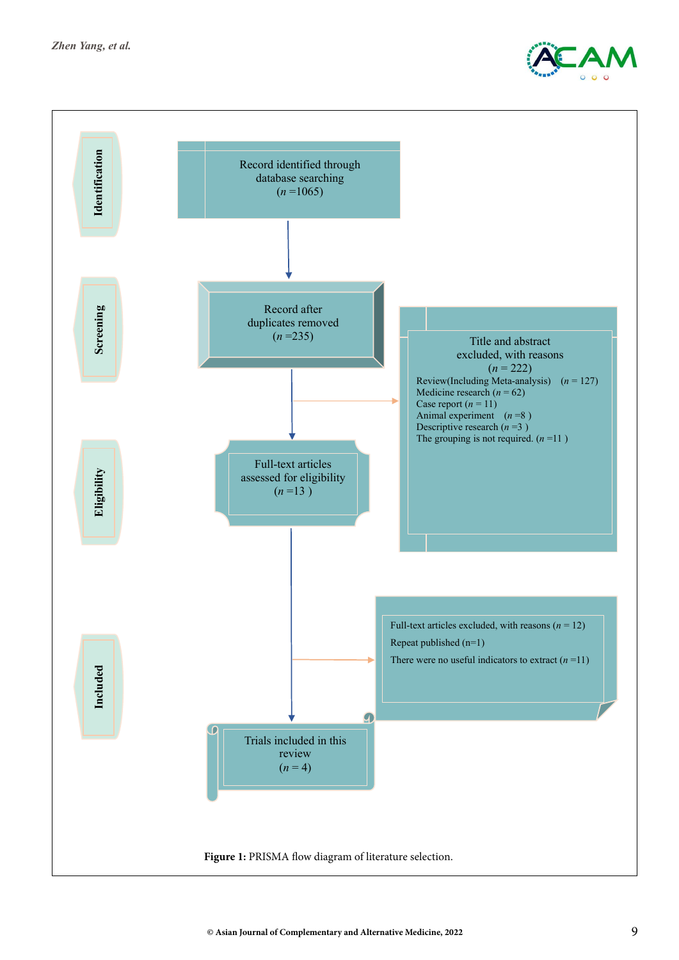

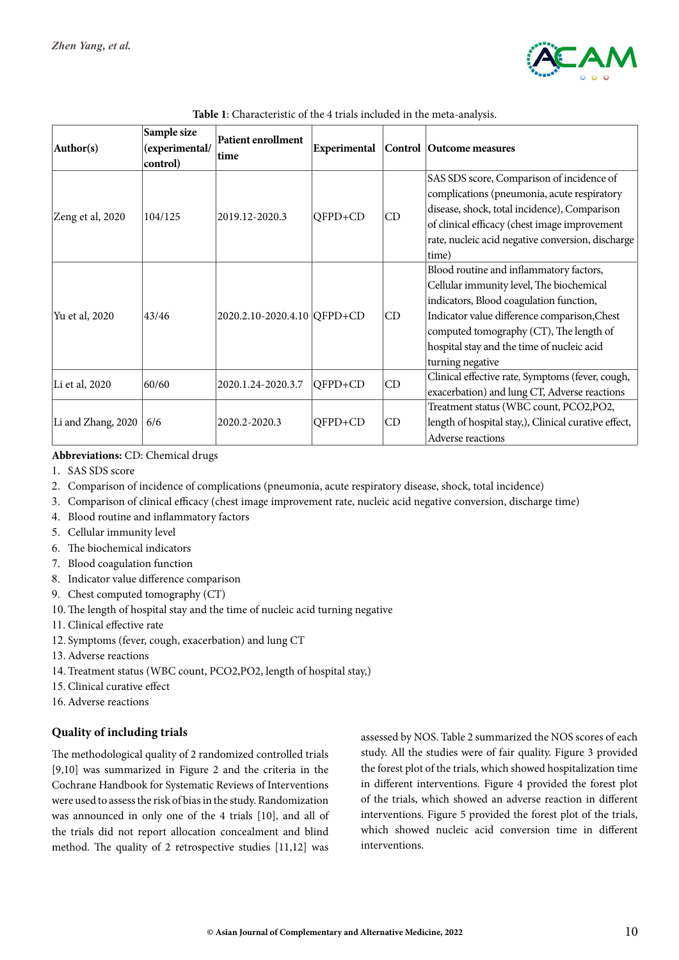

| Author(s)          | Sample size<br>(experimental/<br>control) | <b>Patient enrollment</b><br>time | Experimental |    | Control Outcome measures                                                                                                                                                                                                                                                                    |
|--------------------|-------------------------------------------|-----------------------------------|--------------|----|---------------------------------------------------------------------------------------------------------------------------------------------------------------------------------------------------------------------------------------------------------------------------------------------|
| Zeng et al, 2020   | 104/125                                   | 2019.12-2020.3                    | QFPD+CD      | CD | SAS SDS score, Comparison of incidence of<br>complications (pneumonia, acute respiratory<br>disease, shock, total incidence), Comparison<br>of clinical efficacy (chest image improvement<br>rate, nucleic acid negative conversion, discharge<br>time)                                     |
| Yu et al, 2020     | 43/46                                     | 2020.2.10-2020.4.10 QFPD+CD       |              | CD | Blood routine and inflammatory factors,<br>Cellular immunity level, The biochemical<br>indicators, Blood coagulation function,<br>Indicator value difference comparison, Chest<br>computed tomography (CT), The length of<br>hospital stay and the time of nucleic acid<br>turning negative |
| Li et al, 2020     | 60/60                                     | 2020.1.24-2020.3.7                | OFPD+CD      | CD | Clinical effective rate, Symptoms (fever, cough,<br>exacerbation) and lung CT, Adverse reactions                                                                                                                                                                                            |
| Li and Zhang, 2020 | 6/6                                       | 2020.2-2020.3                     | QFPD+CD      | CD | Treatment status (WBC count, PCO2, PO2,<br>length of hospital stay,), Clinical curative effect,<br>Adverse reactions                                                                                                                                                                        |

#### **Abbreviations:** CD: Chemical drugs

- 1. SAS SDS score
- 2. Comparison of incidence of complications (pneumonia, acute respiratory disease, shock, total incidence)
- 3. Comparison of clinical efficacy (chest image improvement rate, nucleic acid negative conversion, discharge time)
- 4. Blood routine and inflammatory factors
- 5. Cellular immunity level
- 6. The biochemical indicators
- 7. Blood coagulation function
- 8. Indicator value difference comparison
- 9. Chest computed tomography (CT)
- 10.The length of hospital stay and the time of nucleic acid turning negative
- 11. Clinical effective rate
- 12. Symptoms (fever, cough, exacerbation) and lung CT
- 13.Adverse reactions
- 14. Treatment status (WBC count, PCO2,PO2, length of hospital stay,)
- 15. Clinical curative effect
- 16.Adverse reactions

## **Quality of including trials**

The methodological quality of 2 randomized controlled trials [9,10] was summarized in Figure 2 and the criteria in the Cochrane Handbook for Systematic Reviews of Interventions were used to assess the risk of bias in the study. Randomization was announced in only one of the 4 trials [10], and all of the trials did not report allocation concealment and blind method. The quality of 2 retrospective studies [11,12] was

assessed by NOS. Table 2 summarized the NOS scores of each study. All the studies were of fair quality. Figure 3 provided the forest plot of the trials, which showed hospitalization time in different interventions. Figure 4 provided the forest plot of the trials, which showed an adverse reaction in different interventions. Figure 5 provided the forest plot of the trials, which showed nucleic acid conversion time in different interventions.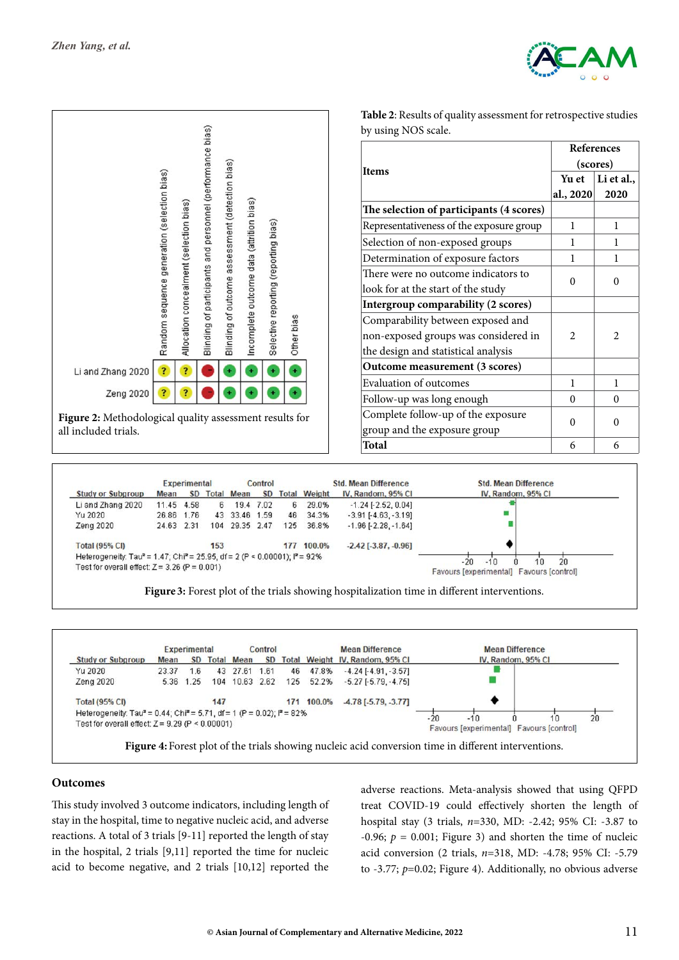

**References (scores)**

 $2 \mid 2$ 

**Li et al., 2020**

**Yu et al., 2020**



**Table 2**: Results of quality assessment for retrospective studies

|                                                                                                              |            | <b>Experimental</b> |     |                   | Control   |     |                     | <b>Std. Mean Difference</b>   | <b>Std. Mean Difference</b>              |
|--------------------------------------------------------------------------------------------------------------|------------|---------------------|-----|-------------------|-----------|-----|---------------------|-------------------------------|------------------------------------------|
| <b>Study or Subgroup</b>                                                                                     | Mean       | <b>SD</b>           |     | <b>Total Mean</b> | <b>SD</b> |     | <b>Total Weight</b> | IV. Random, 95% CI            | IV. Random, 95% CI                       |
| Li and Zhang 2020                                                                                            | 11.45      | 4.58                | 6.  |                   | 19.4 7.02 | 6.  | 29.0%               | $-1.24$ [ $-2.52$ , 0.04]     |                                          |
| Yu 2020                                                                                                      | 26.86 1.76 |                     |     | 43 33.46 1.59     |           | 46  | 34.3%               | $-3.91$ [ $-4.63$ , $-3.19$ ] |                                          |
| Zena 2020                                                                                                    | 24.63 2.31 |                     | 104 | 29.35 2.47        |           | 125 | 36.8%               | $-1.96$ [ $-2.28$ , $-1.64$ ] |                                          |
| <b>Total (95% CI)</b>                                                                                        |            |                     | 153 |                   |           | 177 | 100.0%              | $-2.42$ [ $-3.87, -0.96$ ]    |                                          |
| Heterogeneity: Tau <sup>2</sup> = 1.47; Chi <sup>2</sup> = 25.95, df = 2 (P < 0.00001); l <sup>2</sup> = 92% |            |                     |     |                   |           |     |                     |                               | $-20$<br>20<br>10<br>$-10$               |
| Test for overall effect: $Z = 3.26$ (P = 0.001)                                                              |            |                     |     |                   |           |     |                     |                               | Favours [experimental] Favours [control] |

**Figure 3:** Forest plot of the trials showing hospitalization time in different interventions.



#### **Outcomes**

This study involved 3 outcome indicators, including length of stay in the hospital, time to negative nucleic acid, and adverse reactions. A total of 3 trials [9-11] reported the length of stay in the hospital, 2 trials [9,11] reported the time for nucleic acid to become negative, and 2 trials [10,12] reported the

adverse reactions. Meta-analysis showed that using QFPD treat COVID-19 could effectively shorten the length of hospital stay (3 trials, *n*=330, MD: -2.42; 95% CI: -3.87 to -0.96;  $p = 0.001$ ; Figure 3) and shorten the time of nucleic acid conversion (2 trials, *n*=318, MD: -4.78; 95% CI: -5.79 to -3.77; *p*=0.02; Figure 4). Additionally, no obvious adverse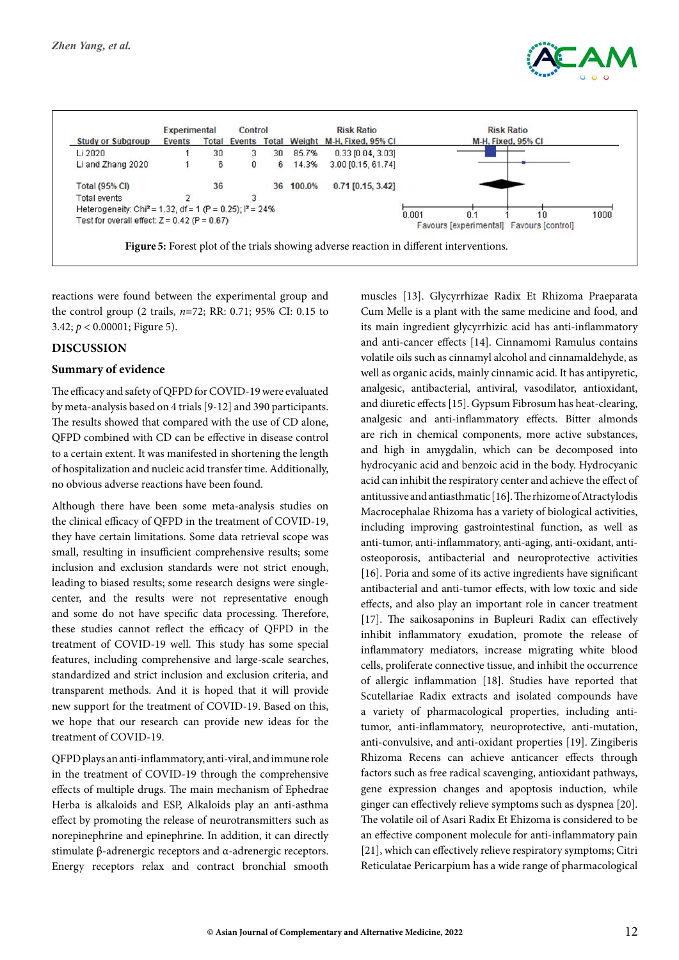



reactions were found between the experimental group and the control group (2 trails, *n*=72; RR: 0.71; 95% CI: 0.15 to 3.42; *p* < 0.00001; Figure 5).

## **Discussion**

#### **Summary of evidence**

The efficacy and safety of QFPD for COVID-19 were evaluated by meta-analysis based on 4 trials [9-12] and 390 participants. The results showed that compared with the use of CD alone, QFPD combined with CD can be effective in disease control to a certain extent. It was manifested in shortening the length of hospitalization and nucleic acid transfer time. Additionally, no obvious adverse reactions have been found.

Although there have been some meta-analysis studies on the clinical efficacy of QFPD in the treatment of COVID-19, they have certain limitations. Some data retrieval scope was small, resulting in insufficient comprehensive results; some inclusion and exclusion standards were not strict enough, leading to biased results; some research designs were singlecenter, and the results were not representative enough and some do not have specific data processing. Therefore, these studies cannot reflect the efficacy of QFPD in the treatment of COVID-19 well. This study has some special features, including comprehensive and large-scale searches, standardized and strict inclusion and exclusion criteria, and transparent methods. And it is hoped that it will provide new support for the treatment of COVID-19. Based on this, we hope that our research can provide new ideas for the treatment of COVID-19.

QFPD plays an anti-inflammatory, anti-viral, and immune role in the treatment of COVID-19 through the comprehensive effects of multiple drugs. The main mechanism of Ephedrae Herba is alkaloids and ESP, Alkaloids play an anti-asthma effect by promoting the release of neurotransmitters such as norepinephrine and epinephrine. In addition, it can directly stimulate β-adrenergic receptors and α-adrenergic receptors. Energy receptors relax and contract bronchial smooth

muscles [13]. Glycyrrhizae Radix Et Rhizoma Praeparata Cum Melle is a plant with the same medicine and food, and its main ingredient glycyrrhizic acid has anti-inflammatory and anti-cancer effects [14]. Cinnamomi Ramulus contains volatile oils such as cinnamyl alcohol and cinnamaldehyde, as well as organic acids, mainly cinnamic acid. It has antipyretic, analgesic, antibacterial, antiviral, vasodilator, antioxidant, and diuretic effects [15]. Gypsum Fibrosum has heat-clearing, analgesic and anti-inflammatory effects. Bitter almonds are rich in chemical components, more active substances, and high in amygdalin, which can be decomposed into hydrocyanic acid and benzoic acid in the body. Hydrocyanic acid can inhibit the respiratory center and achieve the effect of antitussive and antiasthmatic [16]. The rhizome of Atractylodis Macrocephalae Rhizoma has a variety of biological activities, including improving gastrointestinal function, as well as anti-tumor, anti-inflammatory, anti-aging, anti-oxidant, antiosteoporosis, antibacterial and neuroprotective activities [16]. Poria and some of its active ingredients have significant antibacterial and anti-tumor effects, with low toxic and side effects, and also play an important role in cancer treatment [17]. The saikosaponins in Bupleuri Radix can effectively inhibit inflammatory exudation, promote the release of inflammatory mediators, increase migrating white blood cells, proliferate connective tissue, and inhibit the occurrence of allergic inflammation [18]. Studies have reported that Scutellariae Radix extracts and isolated compounds have a variety of pharmacological properties, including antitumor, anti-inflammatory, neuroprotective, anti-mutation, anti-convulsive, and anti-oxidant properties [19]. Zingiberis Rhizoma Recens can achieve anticancer effects through factors such as free radical scavenging, antioxidant pathways, gene expression changes and apoptosis induction, while ginger can effectively relieve symptoms such as dyspnea [20]. The volatile oil of Asari Radix Et Ehizoma is considered to be an effective component molecule for anti-inflammatory pain [21], which can effectively relieve respiratory symptoms; Citri Reticulatae Pericarpium has a wide range of pharmacological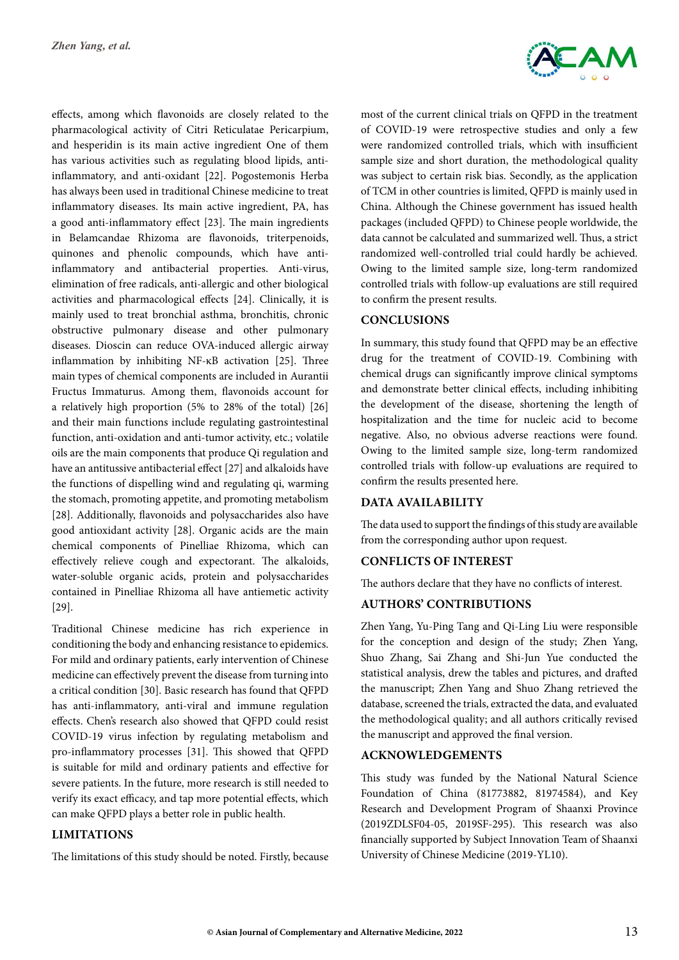effects, among which flavonoids are closely related to the pharmacological activity of Citri Reticulatae Pericarpium, and hesperidin is its main active ingredient One of them has various activities such as regulating blood lipids, antiinflammatory, and anti-oxidant [22]. Pogostemonis Herba has always been used in traditional Chinese medicine to treat inflammatory diseases. Its main active ingredient, PA, has a good anti-inflammatory effect [23]. The main ingredients in Belamcandae Rhizoma are flavonoids, triterpenoids, quinones and phenolic compounds, which have antiinflammatory and antibacterial properties. Anti-virus, elimination of free radicals, anti-allergic and other biological activities and pharmacological effects [24]. Clinically, it is mainly used to treat bronchial asthma, bronchitis, chronic obstructive pulmonary disease and other pulmonary diseases. Dioscin can reduce OVA-induced allergic airway inflammation by inhibiting NF-κB activation [25]. Three main types of chemical components are included in Aurantii Fructus Immaturus. Among them, flavonoids account for a relatively high proportion (5% to 28% of the total) [26] and their main functions include regulating gastrointestinal function, anti-oxidation and anti-tumor activity, etc.; volatile oils are the main components that produce Qi regulation and have an antitussive antibacterial effect [27] and alkaloids have the functions of dispelling wind and regulating qi, warming the stomach, promoting appetite, and promoting metabolism [28]. Additionally, flavonoids and polysaccharides also have good antioxidant activity [28]. Organic acids are the main chemical components of Pinelliae Rhizoma, which can effectively relieve cough and expectorant. The alkaloids, water-soluble organic acids, protein and polysaccharides contained in Pinelliae Rhizoma all have antiemetic activity [29].

Traditional Chinese medicine has rich experience in conditioning the body and enhancing resistance to epidemics. For mild and ordinary patients, early intervention of Chinese medicine can effectively prevent the disease from turning into a critical condition [30]. Basic research has found that QFPD has anti-inflammatory, anti-viral and immune regulation effects. Chen's research also showed that QFPD could resist COVID-19 virus infection by regulating metabolism and pro-inflammatory processes [31]. This showed that QFPD is suitable for mild and ordinary patients and effective for severe patients. In the future, more research is still needed to verify its exact efficacy, and tap more potential effects, which can make QFPD plays a better role in public health.

## **Limitations**

The limitations of this study should be noted. Firstly, because



most of the current clinical trials on QFPD in the treatment of COVID-19 were retrospective studies and only a few were randomized controlled trials, which with insufficient sample size and short duration, the methodological quality was subject to certain risk bias. Secondly, as the application of TCM in other countries is limited, QFPD is mainly used in China. Although the Chinese government has issued health packages (included QFPD) to Chinese people worldwide, the data cannot be calculated and summarized well. Thus, a strict randomized well-controlled trial could hardly be achieved. Owing to the limited sample size, long-term randomized controlled trials with follow-up evaluations are still required to confirm the present results.

## **Conclusions**

In summary, this study found that QFPD may be an effective drug for the treatment of COVID-19. Combining with chemical drugs can significantly improve clinical symptoms and demonstrate better clinical effects, including inhibiting the development of the disease, shortening the length of hospitalization and the time for nucleic acid to become negative. Also, no obvious adverse reactions were found. Owing to the limited sample size, long-term randomized controlled trials with follow-up evaluations are required to confirm the results presented here.

## **Data Availability**

The data used to support the findings of this study are available from the corresponding author upon request.

## **Conflicts of Interest**

The authors declare that they have no conflicts of interest.

## **Authors' Contributions**

Zhen Yang, Yu-Ping Tang and Qi-Ling Liu were responsible for the conception and design of the study; Zhen Yang, Shuo Zhang, Sai Zhang and Shi-Jun Yue conducted the statistical analysis, drew the tables and pictures, and drafted the manuscript; Zhen Yang and Shuo Zhang retrieved the database, screened the trials, extracted the data, and evaluated the methodological quality; and all authors critically revised the manuscript and approved the final version.

#### **Acknowledgements**

This study was funded by the National Natural Science Foundation of China (81773882, 81974584), and Key Research and Development Program of Shaanxi Province (2019ZDLSF04-05, 2019SF-295). This research was also financially supported by Subject Innovation Team of Shaanxi University of Chinese Medicine (2019-YL10).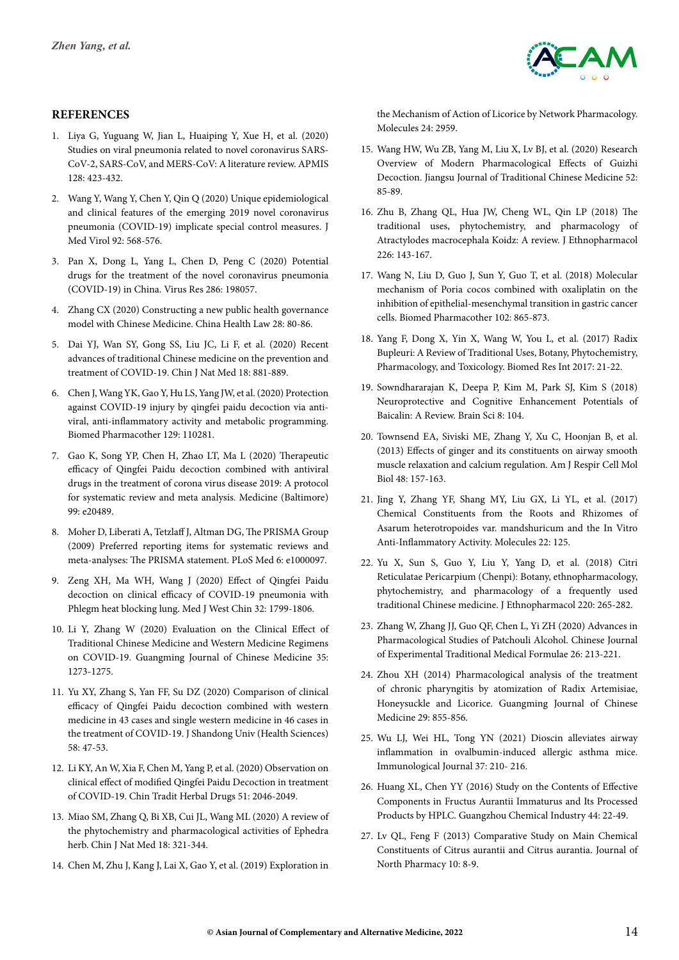

#### **References**

- 1. [Liya G, Yuguang W, Jian L, Huaiping Y, Xue H, et al. \(2020\)](https://pubmed.ncbi.nlm.nih.gov/32363707/) [Studies on viral pneumonia related to novel coronavirus SARS-](https://pubmed.ncbi.nlm.nih.gov/32363707/)[CoV-2, SARS-CoV, and MERS-CoV: A literature review. APMIS](https://pubmed.ncbi.nlm.nih.gov/32363707/) [128: 423-432.](https://pubmed.ncbi.nlm.nih.gov/32363707/)
- 2. [Wang Y, Wang Y, Chen Y, Qin Q \(2020\) Unique epidemiological](https://pubmed.ncbi.nlm.nih.gov/32134116/) [and clinical features of the emerging 2019 novel coronavirus](https://pubmed.ncbi.nlm.nih.gov/32134116/) [pneumonia \(COVID-19\) implicate special control measures. J](https://pubmed.ncbi.nlm.nih.gov/32134116/) [Med Virol 92: 568-576.](https://pubmed.ncbi.nlm.nih.gov/32134116/)
- 3. [Pan X, Dong L, Yang L, Chen D, Peng C \(2020\) Potential](https://pubmed.ncbi.nlm.nih.gov/32531236/) [drugs for the treatment of the novel coronavirus pneumonia](https://pubmed.ncbi.nlm.nih.gov/32531236/) [\(COVID-19\) in China. Virus Res 286: 198057.](https://pubmed.ncbi.nlm.nih.gov/32531236/)
- 4. Zhang CX (2020) Constructing a new public health governance model with Chinese Medicine. China Health Law 28: 80-86.
- 5. [Dai YJ, Wan SY, Gong SS, Liu JC, Li F, et al. \(2020\) Recent](https://pubmed.ncbi.nlm.nih.gov/33357718/) [advances of traditional Chinese medicine on the prevention and](https://pubmed.ncbi.nlm.nih.gov/33357718/) [treatment of COVID-19. Chin J Nat Med 18: 881-889.](https://pubmed.ncbi.nlm.nih.gov/33357718/)
- 6. [Chen J, Wang YK, Gao Y, Hu LS, Yang JW, et al. \(2020\) Protection](https://www.sciencedirect.com/science/article/pii/S075333222030473X) [against COVID-19 injury by qingfei paidu decoction via anti](https://www.sciencedirect.com/science/article/pii/S075333222030473X)[viral, anti-inflammatory activity and metabolic programming.](https://www.sciencedirect.com/science/article/pii/S075333222030473X) [Biomed Pharmacother 129: 110281.](https://www.sciencedirect.com/science/article/pii/S075333222030473X)
- 7. [Gao K, Song YP, Chen H, Zhao LT, Ma L \(2020\) Therapeutic](https://pubmed.ncbi.nlm.nih.gov/32481460/) [efficacy of Qingfei Paidu decoction combined with antiviral](https://pubmed.ncbi.nlm.nih.gov/32481460/) [drugs in the treatment of corona virus disease 2019: A protocol](https://pubmed.ncbi.nlm.nih.gov/32481460/) [for systematic review and meta analysis. Medicine \(Baltimore\)](https://pubmed.ncbi.nlm.nih.gov/32481460/) [99: e20489.](https://pubmed.ncbi.nlm.nih.gov/32481460/)
- 8. [Moher D, Liberati A, Tetzlaff J, Altman DG, The PRISMA Group](https://pubmed.ncbi.nlm.nih.gov/19621072/) [\(2009\) Preferred reporting items for systematic reviews and](https://pubmed.ncbi.nlm.nih.gov/19621072/) [meta-analyses: The PRISMA statement. PLoS Med 6: e1000097.](https://pubmed.ncbi.nlm.nih.gov/19621072/)
- 9. Zeng XH, Ma WH, Wang J (2020) Effect of Qingfei Paidu decoction on clinical efficacy of COVID-19 pneumonia with Phlegm heat blocking lung. Med J West Chin 32: 1799-1806.
- 10. Li Y, Zhang W (2020) Evaluation on the Clinical Effect of Traditional Chinese Medicine and Western Medicine Regimens on COVID-19. Guangming Journal of Chinese Medicine 35: 1273-1275.
- 11. [Yu XY, Zhang S, Yan FF, Su DZ \(2020\) Comparison of clinical](http://yxbwk.njournal.sdu.edu.cn/EN/abstract/abstract4192.shtml) [efficacy of Qingfei Paidu decoction combined with western](http://yxbwk.njournal.sdu.edu.cn/EN/abstract/abstract4192.shtml) [medicine in 43 cases and single western medicine in 46 cases in](http://yxbwk.njournal.sdu.edu.cn/EN/abstract/abstract4192.shtml) [the treatment of COVID-19. J Shandong Univ \(Health Sciences\)](http://yxbwk.njournal.sdu.edu.cn/EN/abstract/abstract4192.shtml) [58: 47-53.](http://yxbwk.njournal.sdu.edu.cn/EN/abstract/abstract4192.shtml)
- 12. Li KY, An W, Xia F, Chen M, Yang P, et al. (2020) Observation on clinical effect of modified Qingfei Paidu Decoction in treatment of COVID-19. Chin Tradit Herbal Drugs 51: 2046-2049.
- 13. [Miao SM, Zhang Q, Bi XB, Cui JL, Wang ML \(2020\) A review of](https://www.sciencedirect.com/science/article/pii/S1875536420300406) [the phytochemistry and pharmacological activities of Ephedra](https://www.sciencedirect.com/science/article/pii/S1875536420300406) [herb. Chin J Nat Med 18: 321-344.](https://www.sciencedirect.com/science/article/pii/S1875536420300406)
- 14. [Chen M, Zhu J, Kang J, Lai X, Gao Y, et al. \(2019\) Exploration in](https://www.ncbi.nlm.nih.gov/pmc/articles/PMC6720938/)

[the Mechanism of Action of Licorice by Network Pharmacology.](https://www.ncbi.nlm.nih.gov/pmc/articles/PMC6720938/) [Molecules 24: 2959.](https://www.ncbi.nlm.nih.gov/pmc/articles/PMC6720938/)

- 15. Wang HW, Wu ZB, Yang M, Liu X, Lv BJ, et al. (2020) Research Overview of Modern Pharmacological Effects of Guizhi Decoction. Jiangsu Journal of Traditional Chinese Medicine 52: 85-89.
- 16. [Zhu B, Zhang QL, Hua JW, Cheng WL, Qin LP \(2018\) The](https://pubmed.ncbi.nlm.nih.gov/30130541/) [traditional uses, phytochemistry, and pharmacology of](https://pubmed.ncbi.nlm.nih.gov/30130541/) [Atractylodes macrocephala Koidz: A review. J Ethnopharmacol](https://pubmed.ncbi.nlm.nih.gov/30130541/) [226: 143-167.](https://pubmed.ncbi.nlm.nih.gov/30130541/)
- 17. [Wang N, Liu D, Guo J, Sun Y, Guo T, et al. \(2018\) Molecular](https://pubmed.ncbi.nlm.nih.gov/29710543/) [mechanism of Poria cocos combined with oxaliplatin on the](https://pubmed.ncbi.nlm.nih.gov/29710543/) [inhibition of epithelial-mesenchymal transition in gastric cancer](https://pubmed.ncbi.nlm.nih.gov/29710543/) [cells. Biomed Pharmacother 102: 865-873.](https://pubmed.ncbi.nlm.nih.gov/29710543/)
- 18. [Yang F, Dong X, Yin X, Wang W, You L, et al. \(2017\) Radix](https://pubmed.ncbi.nlm.nih.gov/28593176/) [Bupleuri: A Review of Traditional Uses, Botany, Phytochemistry,](https://pubmed.ncbi.nlm.nih.gov/28593176/) [Pharmacology, and Toxicology. Biomed Res Int 2017: 21-22.](https://pubmed.ncbi.nlm.nih.gov/28593176/)
- 19. [Sowndhararajan K, Deepa P, Kim M, Park SJ, Kim S \(2018\)](https://pubmed.ncbi.nlm.nih.gov/29891783/) [Neuroprotective and Cognitive Enhancement Potentials of](https://pubmed.ncbi.nlm.nih.gov/29891783/) [Baicalin: A Review. Brain Sci 8: 104.](https://pubmed.ncbi.nlm.nih.gov/29891783/)
- 20. [Townsend EA, Siviski ME, Zhang Y, Xu C, Hoonjan B, et al.](https://pubmed.ncbi.nlm.nih.gov/23065130/) [\(2013\) Effects of ginger and its constituents on airway smooth](https://pubmed.ncbi.nlm.nih.gov/23065130/) [muscle relaxation and calcium regulation. Am J Respir Cell Mol](https://pubmed.ncbi.nlm.nih.gov/23065130/) [Biol 48: 157-163.](https://pubmed.ncbi.nlm.nih.gov/23065130/)
- 21. [Jing Y, Zhang YF, Shang MY, Liu GX, Li YL, et al. \(2017\)](https://www.mdpi.com/1420-3049/22/1/125) [Chemical Constituents from the Roots and Rhizomes of](https://www.mdpi.com/1420-3049/22/1/125) [Asarum heterotropoides var. mandshuricum and the In Vitro](https://www.mdpi.com/1420-3049/22/1/125) [Anti-Inflammatory Activity. Molecules 22: 125.](https://www.mdpi.com/1420-3049/22/1/125)
- 22. [Yu X, Sun S, Guo Y, Liu Y, Yang D, et al. \(2018\) Citri](https://pubmed.ncbi.nlm.nih.gov/29628291/) [Reticulatae Pericarpium \(Chenpi\): Botany, ethnopharmacology,](https://pubmed.ncbi.nlm.nih.gov/29628291/) [phytochemistry, and pharmacology of a frequently used](https://pubmed.ncbi.nlm.nih.gov/29628291/) [traditional Chinese medicine. J Ethnopharmacol 220: 265-282.](https://pubmed.ncbi.nlm.nih.gov/29628291/)
- 23. [Zhang W, Zhang JJ, Guo QF, Chen L, Yi ZH \(2020\) Advances in](https://pesquisa.bvsalud.org/portal/resource/pt/wpr-873141) [Pharmacological Studies of Patchouli Alcohol. Chinese Journal](https://pesquisa.bvsalud.org/portal/resource/pt/wpr-873141) [of Experimental Traditional Medical Formulae 26: 213-221.](https://pesquisa.bvsalud.org/portal/resource/pt/wpr-873141)
- 24. Zhou XH (2014) Pharmacological analysis of the treatment of chronic pharyngitis by atomization of Radix Artemisiae, Honeysuckle and Licorice. Guangming Journal of Chinese Medicine 29: 855-856.
- 25. Wu LJ, Wei HL, Tong YN (2021) Dioscin alleviates airway inflammation in ovalbumin-induced allergic asthma mice. Immunological Journal 37: 210- 216.
- 26. [Huang XL, Chen YY \(2016\) Study on the Contents of Effective](http://en.cnki.com.cn/Article_en/CJFDTotal-GZHA201309053.htm) [Components in Fructus Aurantii Immaturus and Its Processed](http://en.cnki.com.cn/Article_en/CJFDTotal-GZHA201309053.htm) [Products by HPLC. Guangzhou Chemical Industry 44: 22-49.](http://en.cnki.com.cn/Article_en/CJFDTotal-GZHA201309053.htm)
- 27. [Lv QL, Feng F \(2013\) Comparative Study on Main Chemical](https://pubmed.ncbi.nlm.nih.gov/22260108/) [Constituents of Citrus aurantii and Citrus aurantia. Journal of](https://pubmed.ncbi.nlm.nih.gov/22260108/) [North Pharmacy 10: 8-9.](https://pubmed.ncbi.nlm.nih.gov/22260108/)